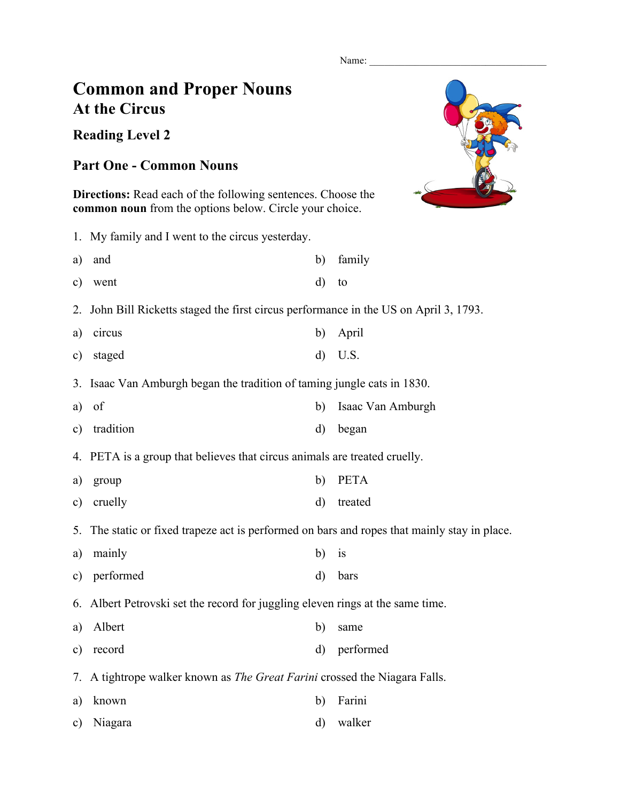Name:

## **Common and Proper Nouns At the Circus**

**Reading Level 2**

## **Part One - Common Nouns**

**Directions:** Read each of the following sentences. Choose the **common noun** from the options below. Circle your choice.

c) Niagara d) walker

1. My family and I went to the circus yesterday. a) and b) family c) went d) to 2. John Bill Ricketts staged the first circus performance in the US on April 3, 1793. a) circus b) April c) staged d) U.S. 3. Isaac Van Amburgh began the tradition of taming jungle cats in 1830. a) of b) Isaac Van Amburgh c) tradition d) began 4. PETA is a group that believes that circus animals are treated cruelly. a) group b) PETA c) cruelly d) treated 5. The static or fixed trapeze act is performed on bars and ropes that mainly stay in place. a) mainly b) is c) performed d) bars 6. Albert Petrovski set the record for juggling eleven rings at the same time. a) Albert b) same c) record d) performed 7. A tightrope walker known as *The Great Farini* crossed the Niagara Falls. a) known b) Farini

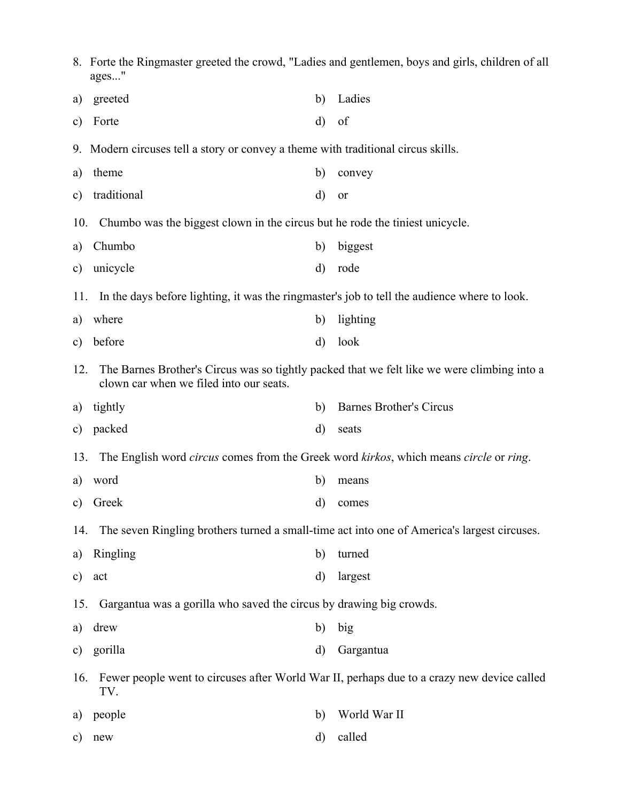|               | 8. Forte the Ringmaster greeted the crowd, "Ladies and gentlemen, boys and girls, children of all<br>ages"                             |         |                                |  |  |  |  |
|---------------|----------------------------------------------------------------------------------------------------------------------------------------|---------|--------------------------------|--|--|--|--|
| a)            | greeted                                                                                                                                | b)      | Ladies                         |  |  |  |  |
| $\mathbf{c})$ | Forte                                                                                                                                  | d)      | of                             |  |  |  |  |
|               | 9. Modern circuses tell a story or convey a theme with traditional circus skills.                                                      |         |                                |  |  |  |  |
| a)            | theme                                                                                                                                  | b)      | convey                         |  |  |  |  |
| $\mathbf{c})$ | traditional                                                                                                                            | d)      | or                             |  |  |  |  |
| 10.           | Chumbo was the biggest clown in the circus but he rode the tiniest unicycle.                                                           |         |                                |  |  |  |  |
| a)            | Chumbo                                                                                                                                 | b)      | biggest                        |  |  |  |  |
| $\mathbf{c})$ | unicycle                                                                                                                               | d)      | rode                           |  |  |  |  |
| 11.           | In the days before lighting, it was the ringmaster's job to tell the audience where to look.                                           |         |                                |  |  |  |  |
| a)            | where                                                                                                                                  | b)      | lighting                       |  |  |  |  |
| $\mathbf{c})$ | before                                                                                                                                 | d)      | look                           |  |  |  |  |
| 12.           | The Barnes Brother's Circus was so tightly packed that we felt like we were climbing into a<br>clown car when we filed into our seats. |         |                                |  |  |  |  |
| a)            | tightly                                                                                                                                | b)      | <b>Barnes Brother's Circus</b> |  |  |  |  |
| $\mathbf{c})$ | packed                                                                                                                                 | d)      | seats                          |  |  |  |  |
| 13.           | The English word circus comes from the Greek word kirkos, which means circle or ring.                                                  |         |                                |  |  |  |  |
| a)            | word                                                                                                                                   | b)      | means                          |  |  |  |  |
|               | c) Greek                                                                                                                               |         | d) comes                       |  |  |  |  |
| 14.           | The seven Ringling brothers turned a small-time act into one of America's largest circuses.                                            |         |                                |  |  |  |  |
| a)            | Ringling                                                                                                                               | b)      | turned                         |  |  |  |  |
| $\mathbf{c})$ | act                                                                                                                                    | d)      | largest                        |  |  |  |  |
|               | Gargantua was a gorilla who saved the circus by drawing big crowds.<br>15.                                                             |         |                                |  |  |  |  |
| a)            | drew                                                                                                                                   | b)      | big                            |  |  |  |  |
| c)            | gorilla                                                                                                                                | $\rm d$ | Gargantua                      |  |  |  |  |
| 16.           | Fewer people went to circuses after World War II, perhaps due to a crazy new device called<br>TV.                                      |         |                                |  |  |  |  |
| a)            | people                                                                                                                                 | b)      | World War II                   |  |  |  |  |
| $\mathbf{c})$ | new                                                                                                                                    | d)      | called                         |  |  |  |  |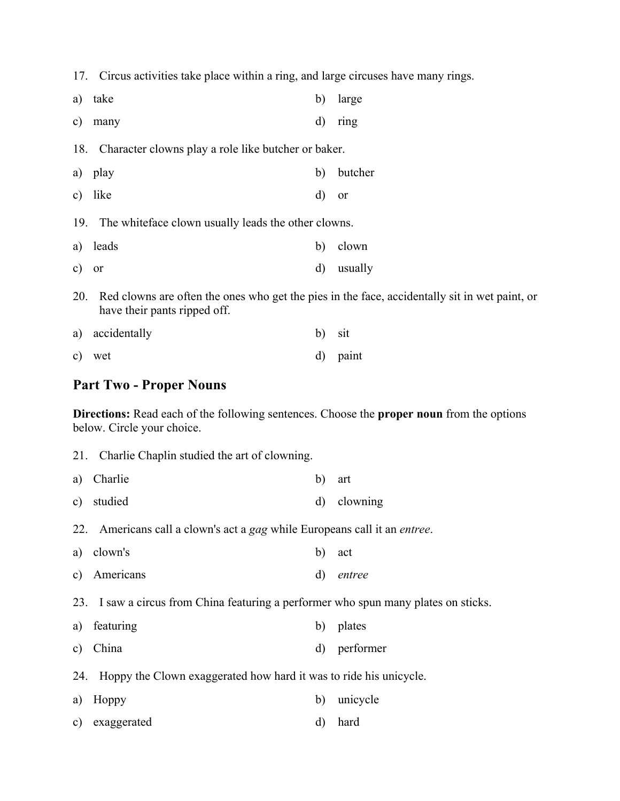17. Circus activities take place within a ring, and large circuses have many rings.

| a)  | take                                                                                                                          | b)       | large         |  |  |
|-----|-------------------------------------------------------------------------------------------------------------------------------|----------|---------------|--|--|
| C)  | many                                                                                                                          | d)       | ring          |  |  |
|     | 18. Character clowns play a role like butcher or baker.                                                                       |          |               |  |  |
|     | a) play                                                                                                                       | b)       | butcher       |  |  |
| c)  | like                                                                                                                          | d)       | <sub>or</sub> |  |  |
|     | 19. The white face clown usually leads the other clowns.                                                                      |          |               |  |  |
|     | a) leads                                                                                                                      | b)       | clown         |  |  |
| c)  | <sub>or</sub>                                                                                                                 | $\rm d)$ | usually       |  |  |
| 20. | Red clowns are often the ones who get the pies in the face, accidentally sit in wet paint, or<br>have their pants ripped off. |          |               |  |  |
| a)  | accidentally                                                                                                                  | b)       | sit           |  |  |

## c) wet d) paint

## **Part Two - Proper Nouns**

**Directions:** Read each of the following sentences. Choose the **proper noun** from the options below. Circle your choice.

|                                                                                     | 21. Charlie Chaplin studied the art of clowning.                                  |    |           |
|-------------------------------------------------------------------------------------|-----------------------------------------------------------------------------------|----|-----------|
| a)                                                                                  | Charlie                                                                           | b) | art       |
| c)                                                                                  | studied                                                                           | d) | clowning  |
|                                                                                     | 22. Americans call a clown's act a gag while Europeans call it an <i>entree</i> . |    |           |
| a)                                                                                  | clown's                                                                           | b) | act       |
| $\mathbf{c})$                                                                       | Americans                                                                         | d) | entree    |
| 23. I saw a circus from China featuring a performer who spun many plates on sticks. |                                                                                   |    |           |
| a)                                                                                  | featuring                                                                         | b) | plates    |
| c)                                                                                  | China                                                                             | d) | performer |
|                                                                                     | Hoppy the Clown exaggerated how hard it was to ride his unicycle.<br>24.          |    |           |
| a)                                                                                  | Hoppy                                                                             | b) | unicycle  |
| C)                                                                                  | exaggerated                                                                       | d) | hard      |
|                                                                                     |                                                                                   |    |           |